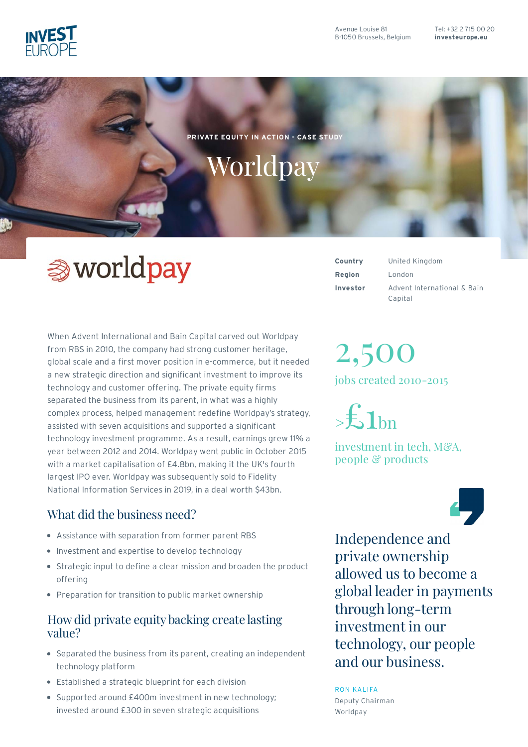

Tel: [+32](tel:+3227150020) 2 715 00 20 **[investeurope.eu](https://www.investeurope.eu)**

**PRIVATE EQUITY IN ACTION - CASE STUDY**

# Worldpay

# **③** worldpay

When Advent International and Bain Capital carved out Worldpay from RBS in 2010, the company had strong customer heritage, global scale and a first mover position in e-commerce, but it needed a new strategic direction and significant investment to improve its technology and customer offering. The private equity firms separated the business from its parent, in what was a highly complex process, helped management redefine Worldpay's strategy, assisted with seven acquisitions and supported a significant technology investment programme. As a result, earnings grew 11% a year between 2012 and 2014. Worldpay went public in October 2015 with a market capitalisation of £4.8bn, making it the UK's fourth largest IPO ever. Worldpay was subsequently sold to Fidelity National Information Services in 2019, in a deal worth \$43bn.

## What did the business need?

- Assistance with separation from former parent RBS
- Investment and expertise to develop technology
- Strategic input to define a clear mission and broaden the product offering
- Preparation for transition to public market ownership

#### How did private equity backing create lasting value?

- Separated the business from its parent, creating an independent technology platform
- Established a strategic blueprint for each division
- Supported around £400m investment in new technology; invested around £300 in seven strategic acquisitions

**Region** London **Investor**

**Country** United Kingdom Advent International & Bain Capital

# 2,500

jobs created 2010-2015

 $\geq$ £1bn

investment in tech, M&A, people & products



Independenceand private ownership allowed us to become a global leader in payments through long-term investment in our technology, our people and our business.

RON KALIFA

Deputy Chairman Worldpay